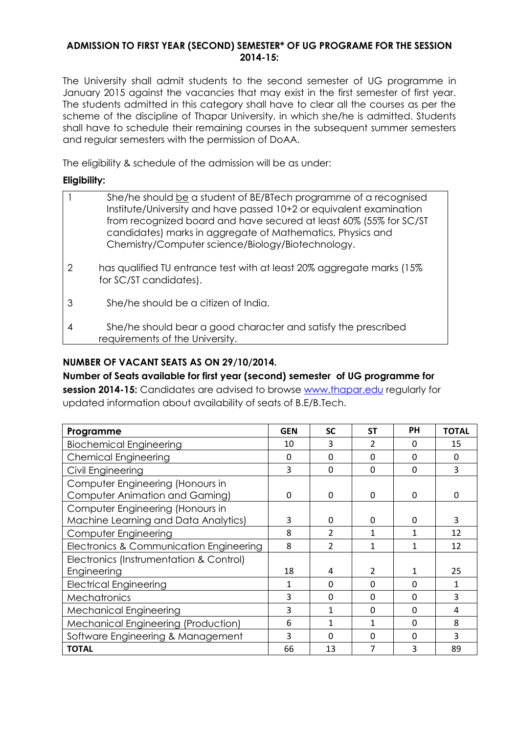### **ADMISSION TO FIRST YEAR (SECOND) SEMESTER\* OF UG PROGRAME FOR THE SESSION 2014-15:**

The University shall admit students to the second semester of UG programme in January 2015 against the vacancies that may exist in the first semester of first year. The students admitted in this category shall have to clear all the courses as per the scheme of the discipline of Thapar University, in which she/he is admitted. Students shall have to schedule their remaining courses in the subsequent summer semesters and regular semesters with the permission of DoAA.

The eligibility & schedule of the admission will be as under:

### **Eligibility:**

|   | She/he should be a student of BE/BTech programme of a recognised<br>Institute/University and have passed 10+2 or equivalent examination<br>from recognized board and have secured at least 60% (55% for SC/ST<br>candidates) marks in aggregate of Mathematics, Physics and<br>Chemistry/Computer science/Biology/Biotechnology. |
|---|----------------------------------------------------------------------------------------------------------------------------------------------------------------------------------------------------------------------------------------------------------------------------------------------------------------------------------|
| 2 | has qualified TU entrance test with at least 20% aggregate marks (15%)<br>for SC/ST candidates).                                                                                                                                                                                                                                 |
| 3 | She/he should be a citizen of India.                                                                                                                                                                                                                                                                                             |
|   | She/he should bear a good character and satisfy the prescribed<br>requirements of the University.                                                                                                                                                                                                                                |

# **NUMBER OF VACANT SEATS AS ON 29/10/2014.**

**Number of Seats available for first year (second) semester of UG programme for session 2014-15:** Candidates are advised to browse [www.thapar.edu](http://www.thapar.edu/) regularly for updated information about availability of seats of B.E/B.Tech.

| Programme                                                                 | <b>GEN</b> | <b>SC</b>      | <b>ST</b> | PH       | <b>TOTAL</b> |
|---------------------------------------------------------------------------|------------|----------------|-----------|----------|--------------|
| <b>Biochemical Engineering</b>                                            | 10         | 3              | 2         | $\Omega$ | 15           |
| <b>Chemical Engineering</b>                                               | $\Omega$   | $\Omega$       | $\Omega$  | $\Omega$ | $\Omega$     |
| Civil Engineering                                                         | 3          | 0              | $\Omega$  | $\Omega$ | 3            |
| Computer Engineering (Honours in<br><b>Computer Animation and Gaming)</b> | $\Omega$   | 0              | $\Omega$  | $\Omega$ | $\Omega$     |
| Computer Engineering (Honours in<br>Machine Learning and Data Analytics)  | 3          | 0              | 0         | $\Omega$ | 3            |
| Computer Engineering                                                      | 8          | $\overline{2}$ | 1         | 1        | 12           |
| Electronics & Communication Engineering                                   | 8          | $\overline{2}$ | 1         | 1        | 12           |
| Electronics (Instrumentation & Control)<br>Engineering                    | 18         | 4              | 2         | 1        | 25           |
| <b>Electrical Engineering</b>                                             | 1          | $\Omega$       | $\Omega$  | $\Omega$ | 1            |
| Mechatronics                                                              | 3          | $\Omega$       | $\Omega$  | $\Omega$ | 3            |
| <b>Mechanical Engineering</b>                                             | 3          | 1              | $\Omega$  | $\Omega$ | 4            |
| Mechanical Engineering (Production)                                       | 6          | 1              | 1         | $\Omega$ | 8            |
| Software Engineering & Management                                         | 3          | $\Omega$       | $\Omega$  | $\Omega$ | 3            |
| <b>TOTAL</b>                                                              | 66         | 13             | 7         | 3        | 89           |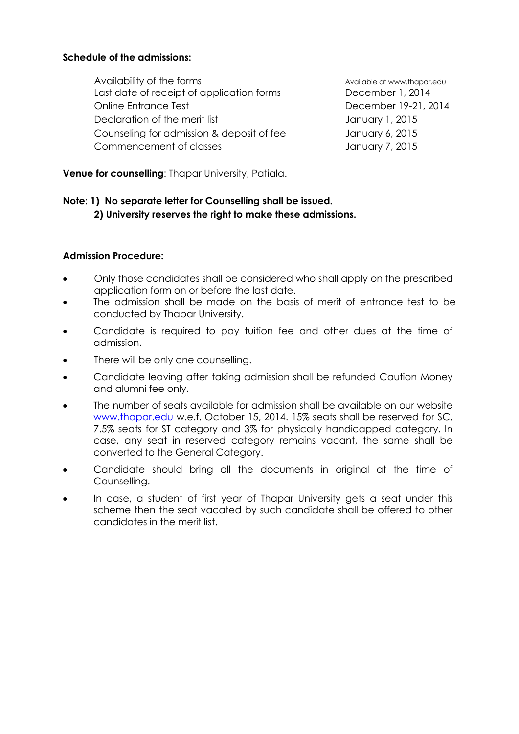## **Schedule of the admissions:**

Availability of the forms and a series are available at www.thapar.edu Last date of receipt of application forms December 1, 2014 Online Entrance Test December 19-21, 2014 Declaration of the merit list **Islamic Contract Contract Contract Contract Contract Contract Contract Contract Contract Contract Contract Contract Contract Contract Contract Contract Contract Contract Contract Contract Con** Counseling for admission & deposit of fee January 6, 2015 Commencement of classes January 7, 2015

**Venue for counselling**: Thapar University, Patiala.

# **Note: 1) No separate letter for Counselling shall be issued. 2) University reserves the right to make these admissions.**

## **Admission Procedure:**

- Only those candidates shall be considered who shall apply on the prescribed application form on or before the last date.
- The admission shall be made on the basis of merit of entrance test to be conducted by Thapar University.
- Candidate is required to pay tuition fee and other dues at the time of admission.
- There will be only one counselling.
- Candidate leaving after taking admission shall be refunded Caution Money and alumni fee only.
- The number of seats available for admission shall be available on our website [www.thapar.edu](http://www.thapar.edu/) w.e.f. October 15, 2014. 15% seats shall be reserved for SC, 7.5% seats for ST category and 3% for physically handicapped category. In case, any seat in reserved category remains vacant, the same shall be converted to the General Category.
- Candidate should bring all the documents in original at the time of Counselling.
- In case, a student of first year of Thapar University gets a seat under this scheme then the seat vacated by such candidate shall be offered to other candidates in the merit list.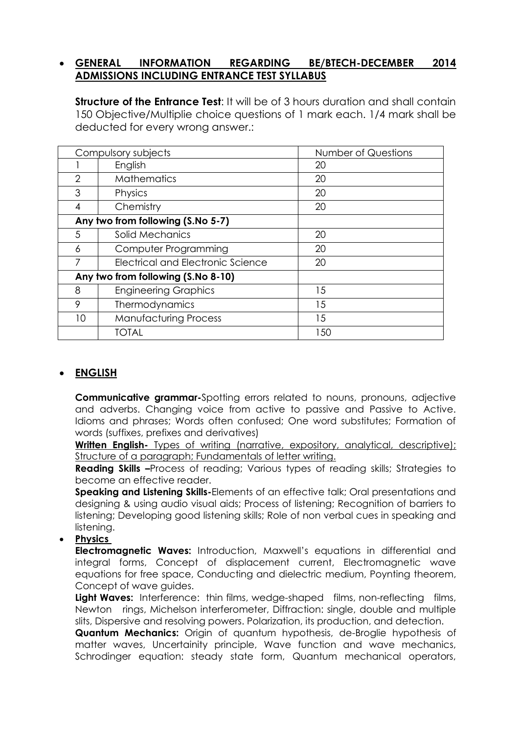# **GENERAL INFORMATION REGARDING BE/BTECH-DECEMBER 2014 ADMISSIONS INCLUDING ENTRANCE TEST SYLLABUS**

**Structure of the Entrance Test**: It will be of 3 hours duration and shall contain 150 Objective/Multiplie choice questions of 1 mark each. 1/4 mark shall be deducted for every wrong answer.:

| Compulsory subjects                |                                   | Number of Questions |  |  |  |
|------------------------------------|-----------------------------------|---------------------|--|--|--|
|                                    | English                           | 20                  |  |  |  |
| $\overline{2}$                     | <b>Mathematics</b>                | 20                  |  |  |  |
| 3                                  | Physics                           | 20                  |  |  |  |
| 4                                  | Chemistry                         | 20                  |  |  |  |
| Any two from following (S.No 5-7)  |                                   |                     |  |  |  |
| 5                                  | Solid Mechanics                   | 20                  |  |  |  |
| 6                                  | Computer Programming              | 20                  |  |  |  |
|                                    | Electrical and Electronic Science | 20                  |  |  |  |
| Any two from following (S.No 8-10) |                                   |                     |  |  |  |
| 8                                  | <b>Engineering Graphics</b>       | 15                  |  |  |  |
| 9                                  | Thermodynamics                    | 15                  |  |  |  |
| 10                                 | <b>Manufacturing Process</b>      | 15                  |  |  |  |
|                                    | TOTAL                             | 150                 |  |  |  |

# **ENGLISH**

**Communicative grammar-**Spotting errors related to nouns, pronouns, adjective and adverbs. Changing voice from active to passive and Passive to Active. Idioms and phrases; Words often confused; One word substitutes; Formation of words (suffixes, prefixes and derivatives)

**Written English-** Types of writing (narrative, expository, analytical, descriptive); Structure of a paragraph; Fundamentals of letter writing.

**Reading Skills -Process of reading; Various types of reading skills; Strategies to** become an effective reader.

**Speaking and Listening Skills-**Elements of an effective talk; Oral presentations and designing & using audio visual aids; Process of listening; Recognition of barriers to listening; Developing good listening skills; Role of non verbal cues in speaking and listening.

# **Physics**

**Electromagnetic Waves:** Introduction, Maxwell's equations in differential and integral forms, Concept of displacement current, Electromagnetic wave equations for free space, Conducting and dielectric medium, Poynting theorem, Concept of wave guides.

Light Waves: Interference: thin films, wedge-shaped films, non-reflecting films, Newton rings, Michelson interferometer, Diffraction: single, double and multiple slits, Dispersive and resolving powers. Polarization, its production, and detection.

**Quantum Mechanics:** Origin of quantum hypothesis, de-Broglie hypothesis of matter waves, Uncertainity principle, Wave function and wave mechanics, Schrodinger equation: steady state form, Quantum mechanical operators,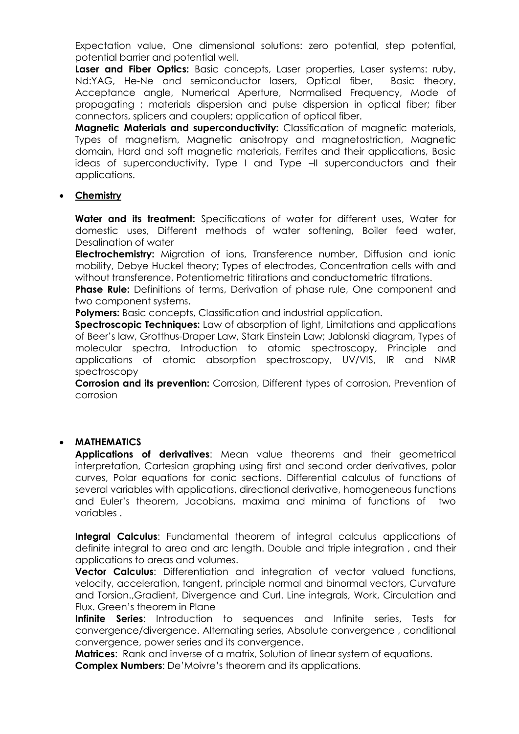Expectation value, One dimensional solutions: zero potential, step potential, potential barrier and potential well.

Laser and Fiber Optics: Basic concepts, Laser properties, Laser systems: ruby, Nd:YAG, He-Ne and semiconductor lasers, Optical fiber, Basic theory, Acceptance angle, Numerical Aperture, Normalised Frequency, Mode of propagating ; materials dispersion and pulse dispersion in optical fiber; fiber connectors, splicers and couplers; application of optical fiber.

**Magnetic Materials and superconductivity:** Classification of magnetic materials, Types of magnetism, Magnetic anisotropy and magnetostriction, Magnetic domain, Hard and soft magnetic materials, Ferrites and their applications, Basic ideas of superconductivity, Type I and Type –II superconductors and their applications.

#### **Chemistry**

**Water and its treatment:** Specifications of water for different uses, Water for domestic uses, Different methods of water softening, Boiler feed water, Desalination of water

**Electrochemistry:** Migration of ions, Transference number, Diffusion and ionic mobility, Debye Huckel theory; Types of electrodes, Concentration cells with and without transference, Potentiometric titirations and conductometric titrations.

**Phase Rule:** Definitions of terms, Derivation of phase rule, One component and two component systems.

**Polymers:** Basic concepts, Classification and industrial application.

**Spectroscopic Techniques:** Law of absorption of light, Limitations and applications of Beer's law, Grotthus-Draper Law, Stark Einstein Law; Jablonski diagram, Types of molecular spectra, Introduction to atomic spectroscopy, Principle and applications of atomic absorption spectroscopy, UV/VIS, IR and NMR spectroscopy

**Corrosion and its prevention:** Corrosion, Different types of corrosion, Prevention of corrosion

## **MATHEMATICS**

**Applications of derivatives**: Mean value theorems and their geometrical interpretation, Cartesian graphing using first and second order derivatives, polar curves, Polar equations for conic sections. Differential calculus of functions of several variables with applications, directional derivative, homogeneous functions and Euler's theorem, Jacobians, maxima and minima of functions of two variables .

**Integral Calculus**: Fundamental theorem of integral calculus applications of definite integral to area and arc length. Double and triple integration , and their applications to areas and volumes.

**Vector Calculus**: Differentiation and integration of vector valued functions, velocity, acceleration, tangent, principle normal and binormal vectors, Curvature and Torsion.,Gradient, Divergence and Curl. Line integrals, Work, Circulation and Flux. Green's theorem in Plane

**Infinite Series**: Introduction to sequences and Infinite series, Tests for convergence/divergence. Alternating series, Absolute convergence , conditional convergence, power series and its convergence.

**Matrices**: Rank and inverse of a matrix, Solution of linear system of equations.

**Complex Numbers**: De'Moivre's theorem and its applications.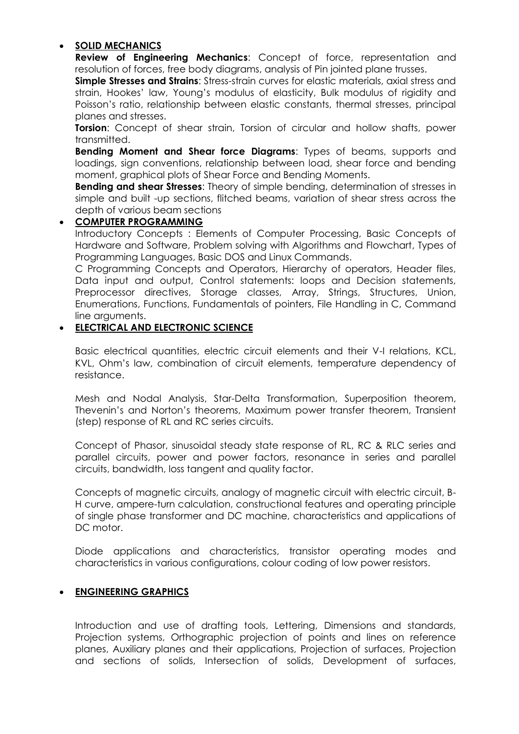# **SOLID MECHANICS**

**Review of Engineering Mechanics**: Concept of force, representation and resolution of forces, free body diagrams, analysis of Pin jointed plane trusses.

**Simple Stresses and Strains:** Stress-strain curves for elastic materials, axial stress and strain, Hookes' law, Young's modulus of elasticity, Bulk modulus of rigidity and Poisson's ratio, relationship between elastic constants, thermal stresses, principal planes and stresses.

**Torsion:** Concept of shear strain, Torsion of circular and hollow shafts, power transmitted.

**Bending Moment and Shear force Diagrams**: Types of beams, supports and loadings, sign conventions, relationship between load, shear force and bending moment, graphical plots of Shear Force and Bending Moments.

**Bending and shear Stresses**: Theory of simple bending, determination of stresses in simple and built -up sections, flitched beams, variation of shear stress across the depth of various beam sections

## **COMPUTER PROGRAMMING**

Introductory Concepts : Elements of Computer Processing, Basic Concepts of Hardware and Software, Problem solving with Algorithms and Flowchart, Types of Programming Languages, Basic DOS and Linux Commands.

C Programming Concepts and Operators, Hierarchy of operators, Header files, Data input and output, Control statements: loops and Decision statements, Preprocessor directives, Storage classes, Array, Strings, Structures, Union, Enumerations, Functions, Fundamentals of pointers, File Handling in C, Command line arguments.

# **ELECTRICAL AND ELECTRONIC SCIENCE**

Basic electrical quantities, electric circuit elements and their V-I relations, KCL, KVL, Ohm's law, combination of circuit elements, temperature dependency of resistance.

Mesh and Nodal Analysis, Star-Delta Transformation, Superposition theorem, Thevenin's and Norton's theorems, Maximum power transfer theorem, Transient (step) response of RL and RC series circuits.

Concept of Phasor, sinusoidal steady state response of RL, RC & RLC series and parallel circuits, power and power factors, resonance in series and parallel circuits, bandwidth, loss tangent and quality factor.

Concepts of magnetic circuits, analogy of magnetic circuit with electric circuit, B-H curve, ampere-turn calculation, constructional features and operating principle of single phase transformer and DC machine, characteristics and applications of DC motor.

Diode applications and characteristics, transistor operating modes and characteristics in various configurations, colour coding of low power resistors.

## **ENGINEERING GRAPHICS**

Introduction and use of drafting tools, Lettering, Dimensions and standards, Projection systems, Orthographic projection of points and lines on reference planes, Auxiliary planes and their applications, Projection of surfaces, Projection and sections of solids, Intersection of solids, Development of surfaces,